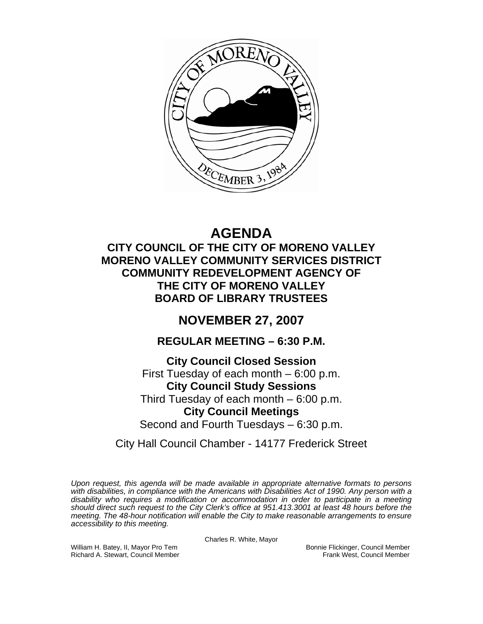

# **AGENDA**

**CITY COUNCIL OF THE CITY OF MORENO VALLEY MORENO VALLEY COMMUNITY SERVICES DISTRICT COMMUNITY REDEVELOPMENT AGENCY OF THE CITY OF MORENO VALLEY BOARD OF LIBRARY TRUSTEES** 

# **NOVEMBER 27, 2007**

# **REGULAR MEETING – 6:30 P.M.**

**City Council Closed Session**  First Tuesday of each month – 6:00 p.m. **City Council Study Sessions**  Third Tuesday of each month – 6:00 p.m. **City Council Meetings**  Second and Fourth Tuesdays – 6:30 p.m.

City Hall Council Chamber - 14177 Frederick Street

*Upon request, this agenda will be made available in appropriate alternative formats to persons with disabilities, in compliance with the Americans with Disabilities Act of 1990. Any person with a disability who requires a modification or accommodation in order to participate in a meeting should direct such request to the City Clerk's office at 951.413.3001 at least 48 hours before the meeting. The 48-hour notification will enable the City to make reasonable arrangements to ensure accessibility to this meeting.* 

Charles R. White, Mayor

William H. Batey, II, Mayor Pro Tem Bonnie Flickinger, Council Member<br>Richard A. Stewart, Council Member Bonnie Frank West, Council Member Richard A. Stewart, Council Member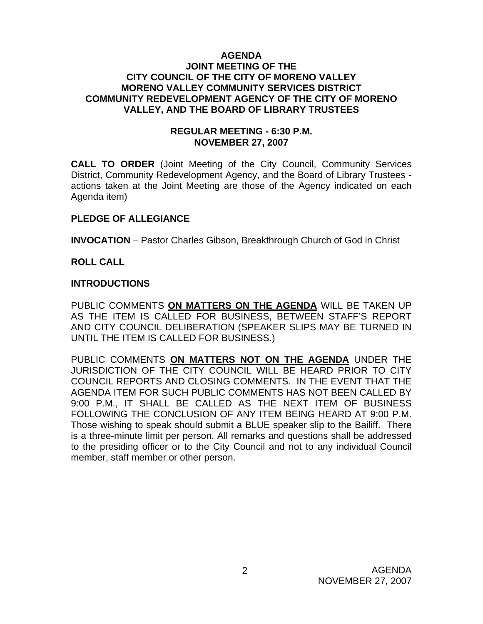#### **AGENDA JOINT MEETING OF THE CITY COUNCIL OF THE CITY OF MORENO VALLEY MORENO VALLEY COMMUNITY SERVICES DISTRICT COMMUNITY REDEVELOPMENT AGENCY OF THE CITY OF MORENO VALLEY, AND THE BOARD OF LIBRARY TRUSTEES**

#### **REGULAR MEETING - 6:30 P.M. NOVEMBER 27, 2007**

**CALL TO ORDER** (Joint Meeting of the City Council, Community Services District, Community Redevelopment Agency, and the Board of Library Trustees actions taken at the Joint Meeting are those of the Agency indicated on each Agenda item)

## **PLEDGE OF ALLEGIANCE**

**INVOCATION** – Pastor Charles Gibson, Breakthrough Church of God in Christ

## **ROLL CALL**

#### **INTRODUCTIONS**

PUBLIC COMMENTS **ON MATTERS ON THE AGENDA** WILL BE TAKEN UP AS THE ITEM IS CALLED FOR BUSINESS, BETWEEN STAFF'S REPORT AND CITY COUNCIL DELIBERATION (SPEAKER SLIPS MAY BE TURNED IN UNTIL THE ITEM IS CALLED FOR BUSINESS.)

PUBLIC COMMENTS **ON MATTERS NOT ON THE AGENDA** UNDER THE JURISDICTION OF THE CITY COUNCIL WILL BE HEARD PRIOR TO CITY COUNCIL REPORTS AND CLOSING COMMENTS. IN THE EVENT THAT THE AGENDA ITEM FOR SUCH PUBLIC COMMENTS HAS NOT BEEN CALLED BY 9:00 P.M., IT SHALL BE CALLED AS THE NEXT ITEM OF BUSINESS FOLLOWING THE CONCLUSION OF ANY ITEM BEING HEARD AT 9:00 P.M. Those wishing to speak should submit a BLUE speaker slip to the Bailiff. There is a three-minute limit per person. All remarks and questions shall be addressed to the presiding officer or to the City Council and not to any individual Council member, staff member or other person.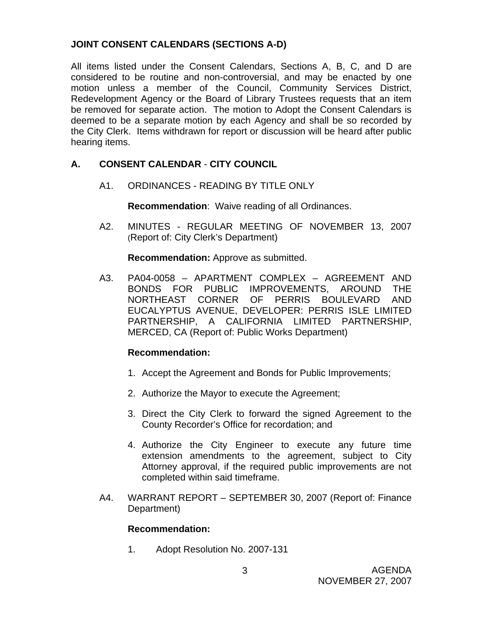# **JOINT CONSENT CALENDARS (SECTIONS A-D)**

All items listed under the Consent Calendars, Sections A, B, C, and D are considered to be routine and non-controversial, and may be enacted by one motion unless a member of the Council, Community Services District, Redevelopment Agency or the Board of Library Trustees requests that an item be removed for separate action. The motion to Adopt the Consent Calendars is deemed to be a separate motion by each Agency and shall be so recorded by the City Clerk. Items withdrawn for report or discussion will be heard after public hearing items.

# **A. CONSENT CALENDAR** - **CITY COUNCIL**

A1. ORDINANCES - READING BY TITLE ONLY

**Recommendation**: Waive reading of all Ordinances.

A2. MINUTES - REGULAR MEETING OF NOVEMBER 13, 2007 (Report of: City Clerk's Department)

**Recommendation:** Approve as submitted.

 A3. PA04-0058 – APARTMENT COMPLEX – AGREEMENT AND BONDS FOR PUBLIC IMPROVEMENTS, AROUND THE NORTHEAST CORNER OF PERRIS BOULEVARD AND EUCALYPTUS AVENUE, DEVELOPER: PERRIS ISLE LIMITED PARTNERSHIP, A CALIFORNIA LIMITED PARTNERSHIP, MERCED, CA (Report of: Public Works Department)

# **Recommendation:**

- 1. Accept the Agreement and Bonds for Public Improvements;
- 2. Authorize the Mayor to execute the Agreement;
- 3. Direct the City Clerk to forward the signed Agreement to the County Recorder's Office for recordation; and
- 4. Authorize the City Engineer to execute any future time extension amendments to the agreement, subject to City Attorney approval, if the required public improvements are not completed within said timeframe.
- A4. WARRANT REPORT SEPTEMBER 30, 2007 (Report of: Finance Department)

# **Recommendation:**

1. Adopt Resolution No. 2007-131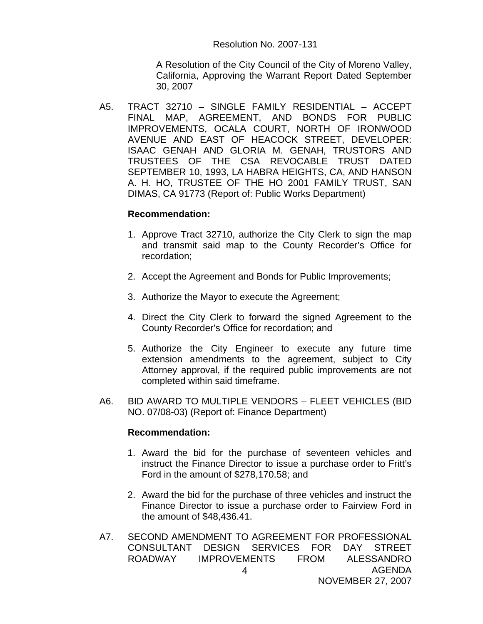A Resolution of the City Council of the City of Moreno Valley, California, Approving the Warrant Report Dated September 30, 2007

A5. TRACT 32710 – SINGLE FAMILY RESIDENTIAL – ACCEPT FINAL MAP, AGREEMENT, AND BONDS FOR PUBLIC IMPROVEMENTS, OCALA COURT, NORTH OF IRONWOOD AVENUE AND EAST OF HEACOCK STREET, DEVELOPER: ISAAC GENAH AND GLORIA M. GENAH, TRUSTORS AND TRUSTEES OF THE CSA REVOCABLE TRUST DATED SEPTEMBER 10, 1993, LA HABRA HEIGHTS, CA, AND HANSON A. H. HO, TRUSTEE OF THE HO 2001 FAMILY TRUST, SAN DIMAS, CA 91773 (Report of: Public Works Department)

#### **Recommendation:**

- 1. Approve Tract 32710, authorize the City Clerk to sign the map and transmit said map to the County Recorder's Office for recordation;
- 2. Accept the Agreement and Bonds for Public Improvements;
- 3. Authorize the Mayor to execute the Agreement;
- 4. Direct the City Clerk to forward the signed Agreement to the County Recorder's Office for recordation; and
- 5. Authorize the City Engineer to execute any future time extension amendments to the agreement, subject to City Attorney approval, if the required public improvements are not completed within said timeframe.
- A6. BID AWARD TO MULTIPLE VENDORS FLEET VEHICLES (BID NO. 07/08-03) (Report of: Finance Department)

- 1. Award the bid for the purchase of seventeen vehicles and instruct the Finance Director to issue a purchase order to Fritt's Ford in the amount of \$278,170.58; and
- 2. Award the bid for the purchase of three vehicles and instruct the Finance Director to issue a purchase order to Fairview Ford in the amount of \$48,436.41.
- AGENDA NOVEMBER 27, 2007 4 A7. SECOND AMENDMENT TO AGREEMENT FOR PROFESSIONAL CONSULTANT DESIGN SERVICES FOR DAY STREET ROADWAY IMPROVEMENTS FROM ALESSANDRO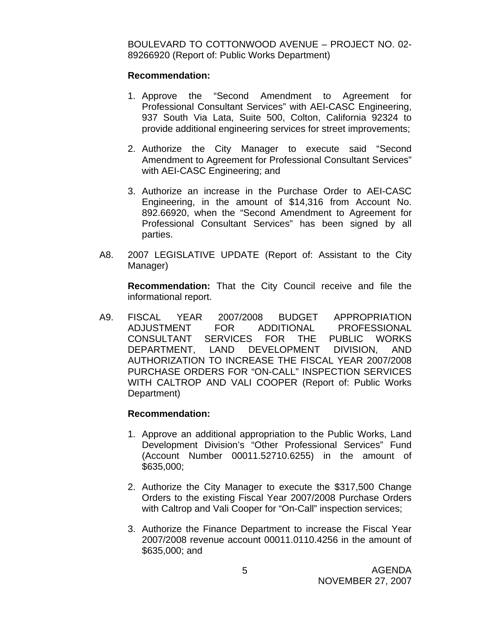BOULEVARD TO COTTONWOOD AVENUE – PROJECT NO. 02- 89266920 (Report of: Public Works Department)

#### **Recommendation:**

- 1. Approve the "Second Amendment to Agreement for Professional Consultant Services" with AEI-CASC Engineering, 937 South Via Lata, Suite 500, Colton, California 92324 to provide additional engineering services for street improvements;
- 2. Authorize the City Manager to execute said "Second Amendment to Agreement for Professional Consultant Services" with AEI-CASC Engineering; and
- 3. Authorize an increase in the Purchase Order to AEI-CASC Engineering, in the amount of \$14,316 from Account No. 892.66920, when the "Second Amendment to Agreement for Professional Consultant Services" has been signed by all parties.
- A8. 2007 LEGISLATIVE UPDATE (Report of: Assistant to the City Manager)

 **Recommendation:** That the City Council receive and file the informational report.

A9. FISCAL YEAR 2007/2008 BUDGET APPROPRIATION ADJUSTMENT FOR ADDITIONAL PROFESSIONAL CONSULTANT SERVICES FOR THE PUBLIC WORKS DEPARTMENT, LAND DEVELOPMENT DIVISION, AND AUTHORIZATION TO INCREASE THE FISCAL YEAR 2007/2008 PURCHASE ORDERS FOR "ON-CALL" INSPECTION SERVICES WITH CALTROP AND VALI COOPER (Report of: Public Works Department)

- 1. Approve an additional appropriation to the Public Works, Land Development Division's "Other Professional Services" Fund (Account Number 00011.52710.6255) in the amount of \$635,000;
- 2. Authorize the City Manager to execute the \$317,500 Change Orders to the existing Fiscal Year 2007/2008 Purchase Orders with Caltrop and Vali Cooper for "On-Call" inspection services;
- 3. Authorize the Finance Department to increase the Fiscal Year 2007/2008 revenue account 00011.0110.4256 in the amount of \$635,000; and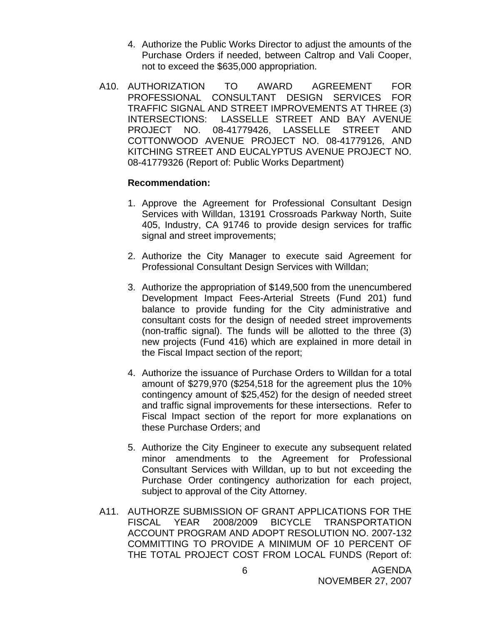- 4. Authorize the Public Works Director to adjust the amounts of the Purchase Orders if needed, between Caltrop and Vali Cooper, not to exceed the \$635,000 appropriation.
- A10. AUTHORIZATION TO AWARD AGREEMENT FOR PROFESSIONAL CONSULTANT DESIGN SERVICES FOR TRAFFIC SIGNAL AND STREET IMPROVEMENTS AT THREE (3) INTERSECTIONS: LASSELLE STREET AND BAY AVENUE PROJECT NO. 08-41779426, LASSELLE STREET AND COTTONWOOD AVENUE PROJECT NO. 08-41779126, AND KITCHING STREET AND EUCALYPTUS AVENUE PROJECT NO. 08-41779326 (Report of: Public Works Department)

- 1. Approve the Agreement for Professional Consultant Design Services with Willdan, 13191 Crossroads Parkway North, Suite 405, Industry, CA 91746 to provide design services for traffic signal and street improvements;
- 2. Authorize the City Manager to execute said Agreement for Professional Consultant Design Services with Willdan;
- 3. Authorize the appropriation of \$149,500 from the unencumbered Development Impact Fees-Arterial Streets (Fund 201) fund balance to provide funding for the City administrative and consultant costs for the design of needed street improvements (non-traffic signal). The funds will be allotted to the three (3) new projects (Fund 416) which are explained in more detail in the Fiscal Impact section of the report;
- 4. Authorize the issuance of Purchase Orders to Willdan for a total amount of \$279,970 (\$254,518 for the agreement plus the 10% contingency amount of \$25,452) for the design of needed street and traffic signal improvements for these intersections. Refer to Fiscal Impact section of the report for more explanations on these Purchase Orders; and
- 5. Authorize the City Engineer to execute any subsequent related minor amendments to the Agreement for Professional Consultant Services with Willdan, up to but not exceeding the Purchase Order contingency authorization for each project, subject to approval of the City Attorney.
- A11. AUTHORZE SUBMISSION OF GRANT APPLICATIONS FOR THE FISCAL YEAR 2008/2009 BICYCLE TRANSPORTATION ACCOUNT PROGRAM AND ADOPT RESOLUTION NO. 2007-132 COMMITTING TO PROVIDE A MINIMUM OF 10 PERCENT OF THE TOTAL PROJECT COST FROM LOCAL FUNDS (Report of: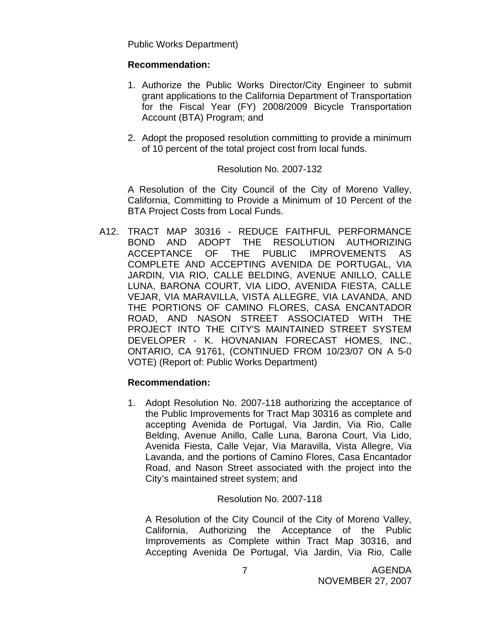Public Works Department)

#### **Recommendation:**

- 1. Authorize the Public Works Director/City Engineer to submit grant applications to the California Department of Transportation for the Fiscal Year (FY) 2008/2009 Bicycle Transportation Account (BTA) Program; and
- 2. Adopt the proposed resolution committing to provide a minimum of 10 percent of the total project cost from local funds.

#### Resolution No. 2007-132

 A Resolution of the City Council of the City of Moreno Valley, California, Committing to Provide a Minimum of 10 Percent of the BTA Project Costs from Local Funds.

A12. TRACT MAP 30316 - REDUCE FAITHFUL PERFORMANCE BOND AND ADOPT THE RESOLUTION AUTHORIZING ACCEPTANCE OF THE PUBLIC IMPROVEMENTS AS COMPLETE AND ACCEPTING AVENIDA DE PORTUGAL, VIA JARDIN, VIA RIO, CALLE BELDING, AVENUE ANILLO, CALLE LUNA, BARONA COURT, VIA LIDO, AVENIDA FIESTA, CALLE VEJAR, VIA MARAVILLA, VISTA ALLEGRE, VIA LAVANDA, AND THE PORTIONS OF CAMINO FLORES, CASA ENCANTADOR ROAD, AND NASON STREET ASSOCIATED WITH THE PROJECT INTO THE CITY'S MAINTAINED STREET SYSTEM DEVELOPER - K. HOVNANIAN FORECAST HOMES, INC., ONTARIO, CA 91761, (CONTINUED FROM 10/23/07 ON A 5-0 VOTE) (Report of: Public Works Department)

#### **Recommendation:**

1. Adopt Resolution No. 2007-118 authorizing the acceptance of the Public Improvements for Tract Map 30316 as complete and accepting Avenida de Portugal, Via Jardin, Via Rio, Calle Belding, Avenue Anillo, Calle Luna, Barona Court, Via Lido, Avenida Fiesta, Calle Vejar, Via Maravilla, Vista Allegre, Via Lavanda, and the portions of Camino Flores, Casa Encantador Road, and Nason Street associated with the project into the City's maintained street system; and

#### Resolution No. 2007-118

A Resolution of the City Council of the City of Moreno Valley, California, Authorizing the Acceptance of the Public Improvements as Complete within Tract Map 30316, and Accepting Avenida De Portugal, Via Jardin, Via Rio, Calle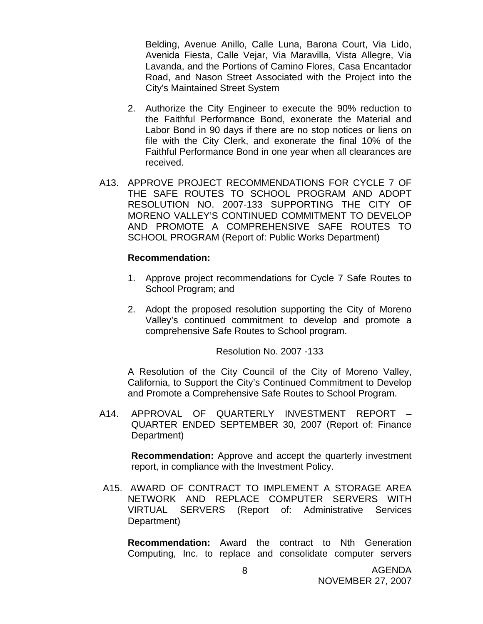Belding, Avenue Anillo, Calle Luna, Barona Court, Via Lido, Avenida Fiesta, Calle Vejar, Via Maravilla, Vista Allegre, Via Lavanda, and the Portions of Camino Flores, Casa Encantador Road, and Nason Street Associated with the Project into the City's Maintained Street System

- 2. Authorize the City Engineer to execute the 90% reduction to the Faithful Performance Bond, exonerate the Material and Labor Bond in 90 days if there are no stop notices or liens on file with the City Clerk, and exonerate the final 10% of the Faithful Performance Bond in one year when all clearances are received.
- A13. APPROVE PROJECT RECOMMENDATIONS FOR CYCLE 7 OF THE SAFE ROUTES TO SCHOOL PROGRAM AND ADOPT RESOLUTION NO. 2007-133 SUPPORTING THE CITY OF MORENO VALLEY'S CONTINUED COMMITMENT TO DEVELOP AND PROMOTE A COMPREHENSIVE SAFE ROUTES TO SCHOOL PROGRAM (Report of: Public Works Department)

#### **Recommendation:**

- 1. Approve project recommendations for Cycle 7 Safe Routes to School Program; and
- 2. Adopt the proposed resolution supporting the City of Moreno Valley's continued commitment to develop and promote a comprehensive Safe Routes to School program.

Resolution No. 2007 -133

A Resolution of the City Council of the City of Moreno Valley, California, to Support the City's Continued Commitment to Develop and Promote a Comprehensive Safe Routes to School Program.

A14. APPROVAL OF QUARTERLY INVESTMENT REPORT – QUARTER ENDED SEPTEMBER 30, 2007 (Report of: Finance Department)

**Recommendation:** Approve and accept the quarterly investment report, in compliance with the Investment Policy.

 A15. AWARD OF CONTRACT TO IMPLEMENT A STORAGE AREA NETWORK AND REPLACE COMPUTER SERVERS WITH VIRTUAL SERVERS (Report of: Administrative Services Department)

**Recommendation:** Award the contract to Nth Generation Computing, Inc. to replace and consolidate computer servers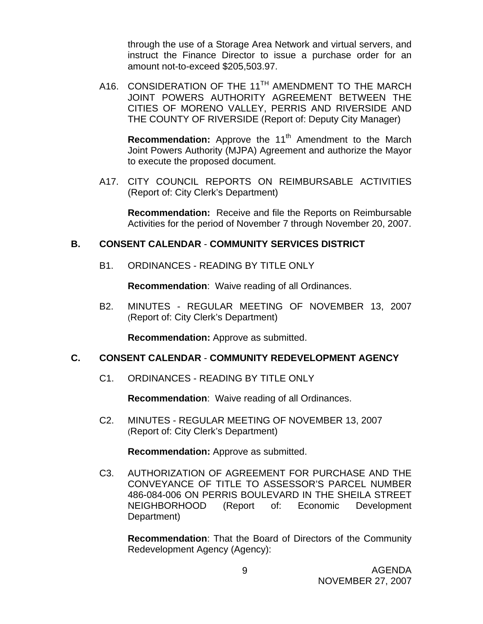through the use of a Storage Area Network and virtual servers, and instruct the Finance Director to issue a purchase order for an amount not-to-exceed \$205,503.97.

A16. CONSIDERATION OF THE 11<sup>TH</sup> AMENDMENT TO THE MARCH JOINT POWERS AUTHORITY AGREEMENT BETWEEN THE CITIES OF MORENO VALLEY, PERRIS AND RIVERSIDE AND THE COUNTY OF RIVERSIDE (Report of: Deputy City Manager)

**Recommendation:** Approve the 11<sup>th</sup> Amendment to the March Joint Powers Authority (MJPA) Agreement and authorize the Mayor to execute the proposed document.

 A17. CITY COUNCIL REPORTS ON REIMBURSABLE ACTIVITIES (Report of: City Clerk's Department)

 **Recommendation:** Receive and file the Reports on Reimbursable Activities for the period of November 7 through November 20, 2007.

#### **B. CONSENT CALENDAR** - **COMMUNITY SERVICES DISTRICT**

B1. ORDINANCES - READING BY TITLE ONLY

**Recommendation**: Waive reading of all Ordinances.

B2. MINUTES - REGULAR MEETING OF NOVEMBER 13, 2007 (Report of: City Clerk's Department)

**Recommendation:** Approve as submitted.

# **C. CONSENT CALENDAR** - **COMMUNITY REDEVELOPMENT AGENCY**

C1. ORDINANCES - READING BY TITLE ONLY

**Recommendation**: Waive reading of all Ordinances.

C2. MINUTES - REGULAR MEETING OF NOVEMBER 13, 2007 (Report of: City Clerk's Department)

**Recommendation:** Approve as submitted.

C3. AUTHORIZATION OF AGREEMENT FOR PURCHASE AND THE CONVEYANCE OF TITLE TO ASSESSOR'S PARCEL NUMBER 486-084-006 ON PERRIS BOULEVARD IN THE SHEILA STREET NEIGHBORHOOD (Report of: Economic Development Department)

**Recommendation**: That the Board of Directors of the Community Redevelopment Agency (Agency):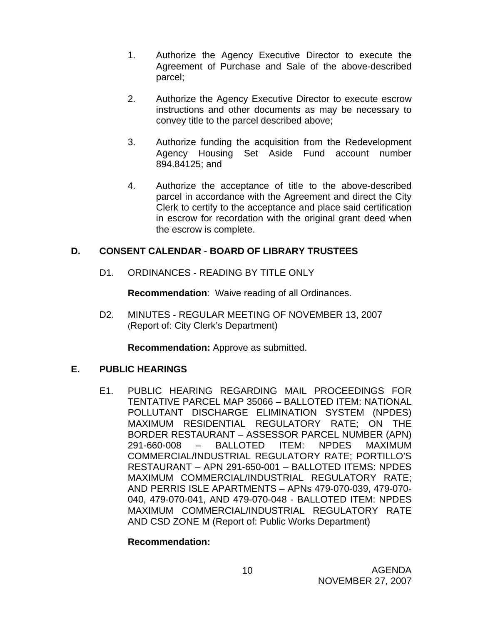- 1. Authorize the Agency Executive Director to execute the Agreement of Purchase and Sale of the above-described parcel;
- 2. Authorize the Agency Executive Director to execute escrow instructions and other documents as may be necessary to convey title to the parcel described above;
- 3. Authorize funding the acquisition from the Redevelopment Agency Housing Set Aside Fund account number 894.84125; and
- 4. Authorize the acceptance of title to the above-described parcel in accordance with the Agreement and direct the City Clerk to certify to the acceptance and place said certification in escrow for recordation with the original grant deed when the escrow is complete.

# **D. CONSENT CALENDAR** - **BOARD OF LIBRARY TRUSTEES**

D1. ORDINANCES - READING BY TITLE ONLY

**Recommendation**: Waive reading of all Ordinances.

D2. MINUTES - REGULAR MEETING OF NOVEMBER 13, 2007 (Report of: City Clerk's Department)

**Recommendation:** Approve as submitted.

# **E. PUBLIC HEARINGS**

E1. PUBLIC HEARING REGARDING MAIL PROCEEDINGS FOR TENTATIVE PARCEL MAP 35066 – BALLOTED ITEM: NATIONAL POLLUTANT DISCHARGE ELIMINATION SYSTEM (NPDES) MAXIMUM RESIDENTIAL REGULATORY RATE; ON THE BORDER RESTAURANT – ASSESSOR PARCEL NUMBER (APN) 291-660-008 – BALLOTED ITEM: NPDES MAXIMUM COMMERCIAL/INDUSTRIAL REGULATORY RATE; PORTILLO'S RESTAURANT – APN 291-650-001 – BALLOTED ITEMS: NPDES MAXIMUM COMMERCIAL/INDUSTRIAL REGULATORY RATE; AND PERRIS ISLE APARTMENTS – APNs 479-070-039, 479-070- 040, 479-070-041, AND 479-070-048 - BALLOTED ITEM: NPDES MAXIMUM COMMERCIAL/INDUSTRIAL REGULATORY RATE AND CSD ZONE M (Report of: Public Works Department)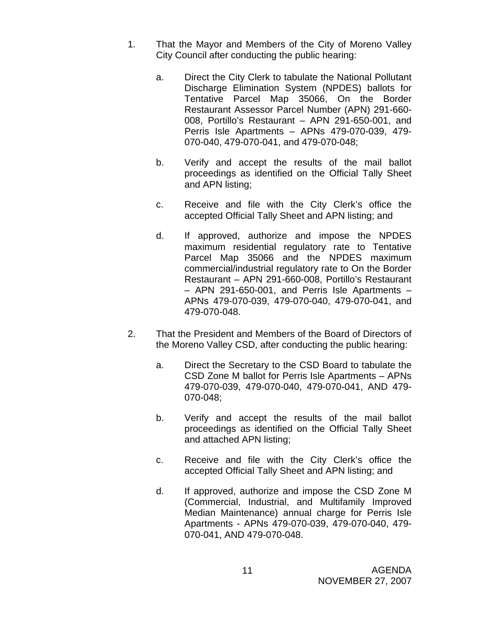- 1. That the Mayor and Members of the City of Moreno Valley City Council after conducting the public hearing:
	- a. Direct the City Clerk to tabulate the National Pollutant Discharge Elimination System (NPDES) ballots for Tentative Parcel Map 35066, On the Border Restaurant Assessor Parcel Number (APN) 291-660- 008, Portillo's Restaurant – APN 291-650-001, and Perris Isle Apartments – APNs 479-070-039, 479- 070-040, 479-070-041, and 479-070-048;
	- b. Verify and accept the results of the mail ballot proceedings as identified on the Official Tally Sheet and APN listing;
	- c. Receive and file with the City Clerk's office the accepted Official Tally Sheet and APN listing; and
	- d. If approved, authorize and impose the NPDES maximum residential regulatory rate to Tentative Parcel Map 35066 and the NPDES maximum commercial/industrial regulatory rate to On the Border Restaurant – APN 291-660-008, Portillo's Restaurant – APN 291-650-001, and Perris Isle Apartments – APNs 479-070-039, 479-070-040, 479-070-041, and 479-070-048.
- 2. That the President and Members of the Board of Directors of the Moreno Valley CSD, after conducting the public hearing:
	- a. Direct the Secretary to the CSD Board to tabulate the CSD Zone M ballot for Perris Isle Apartments – APNs 479-070-039, 479-070-040, 479-070-041, AND 479- 070-048;
	- b. Verify and accept the results of the mail ballot proceedings as identified on the Official Tally Sheet and attached APN listing;
	- c. Receive and file with the City Clerk's office the accepted Official Tally Sheet and APN listing; and
	- d. If approved, authorize and impose the CSD Zone M (Commercial, Industrial, and Multifamily Improved Median Maintenance) annual charge for Perris Isle Apartments - APNs 479-070-039, 479-070-040, 479- 070-041, AND 479-070-048.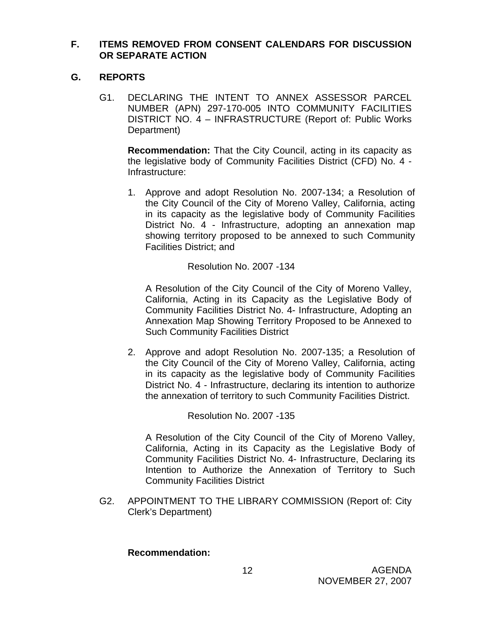#### **F. ITEMS REMOVED FROM CONSENT CALENDARS FOR DISCUSSION OR SEPARATE ACTION**

# **G. REPORTS**

 G1. DECLARING THE INTENT TO ANNEX ASSESSOR PARCEL NUMBER (APN) 297-170-005 INTO COMMUNITY FACILITIES DISTRICT NO. 4 – INFRASTRUCTURE (Report of: Public Works Department)

**Recommendation:** That the City Council, acting in its capacity as the legislative body of Community Facilities District (CFD) No. 4 - Infrastructure:

1. Approve and adopt Resolution No. 2007-134; a Resolution of the City Council of the City of Moreno Valley, California, acting in its capacity as the legislative body of Community Facilities District No. 4 - Infrastructure, adopting an annexation map showing territory proposed to be annexed to such Community Facilities District; and

Resolution No. 2007 -134

A Resolution of the City Council of the City of Moreno Valley, California, Acting in its Capacity as the Legislative Body of Community Facilities District No. 4- Infrastructure, Adopting an Annexation Map Showing Territory Proposed to be Annexed to Such Community Facilities District

2. Approve and adopt Resolution No. 2007-135; a Resolution of the City Council of the City of Moreno Valley, California, acting in its capacity as the legislative body of Community Facilities District No. 4 - Infrastructure, declaring its intention to authorize the annexation of territory to such Community Facilities District.

Resolution No. 2007 -135

A Resolution of the City Council of the City of Moreno Valley, California, Acting in its Capacity as the Legislative Body of Community Facilities District No. 4- Infrastructure, Declaring its Intention to Authorize the Annexation of Territory to Such Community Facilities District

G2. APPOINTMENT TO THE LIBRARY COMMISSION (Report of: City Clerk's Department)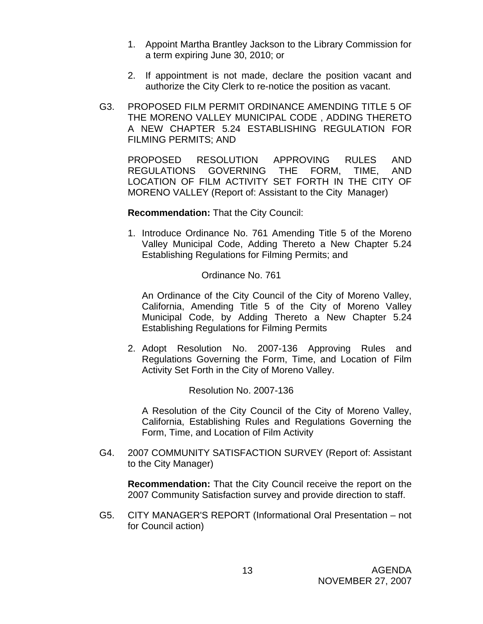- 1. Appoint Martha Brantley Jackson to the Library Commission for a term expiring June 30, 2010; or
- 2. If appointment is not made, declare the position vacant and authorize the City Clerk to re-notice the position as vacant.
- G3. PROPOSED FILM PERMIT ORDINANCE AMENDING TITLE 5 OF THE MORENO VALLEY MUNICIPAL CODE , ADDING THERETO A NEW CHAPTER 5.24 ESTABLISHING REGULATION FOR FILMING PERMITS; AND

 PROPOSED RESOLUTION APPROVING RULES AND REGULATIONS GOVERNING THE FORM, TIME, AND LOCATION OF FILM ACTIVITY SET FORTH IN THE CITY OF MORENO VALLEY (Report of: Assistant to the City Manager)

**Recommendation:** That the City Council:

1. Introduce Ordinance No. 761 Amending Title 5 of the Moreno Valley Municipal Code, Adding Thereto a New Chapter 5.24 Establishing Regulations for Filming Permits; and

Ordinance No. 761

An Ordinance of the City Council of the City of Moreno Valley, California, Amending Title 5 of the City of Moreno Valley Municipal Code, by Adding Thereto a New Chapter 5.24 Establishing Regulations for Filming Permits

2. Adopt Resolution No. 2007-136 Approving Rules and Regulations Governing the Form, Time, and Location of Film Activity Set Forth in the City of Moreno Valley.

Resolution No. 2007-136

A Resolution of the City Council of the City of Moreno Valley, California, Establishing Rules and Regulations Governing the Form, Time, and Location of Film Activity

G4. 2007 COMMUNITY SATISFACTION SURVEY (Report of: Assistant to the City Manager)

**Recommendation:** That the City Council receive the report on the 2007 Community Satisfaction survey and provide direction to staff.

G5. CITY MANAGER'S REPORT (Informational Oral Presentation – not for Council action)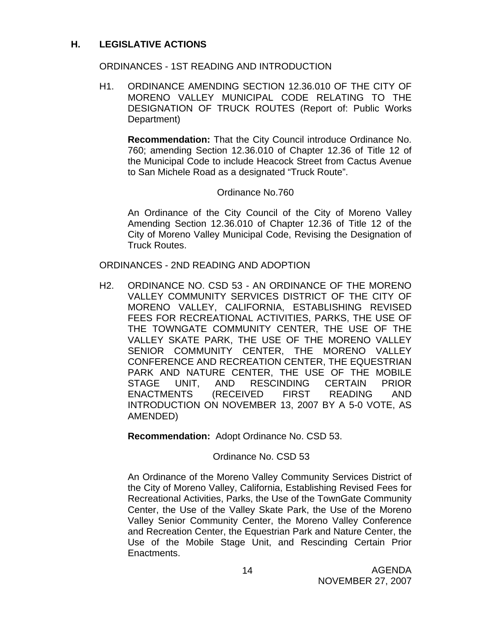## **H. LEGISLATIVE ACTIONS**

#### ORDINANCES - 1ST READING AND INTRODUCTION

H1. ORDINANCE AMENDING SECTION 12.36.010 OF THE CITY OF MORENO VALLEY MUNICIPAL CODE RELATING TO THE DESIGNATION OF TRUCK ROUTES (Report of: Public Works Department)

**Recommendation:** That the City Council introduce Ordinance No. 760; amending Section 12.36.010 of Chapter 12.36 of Title 12 of the Municipal Code to include Heacock Street from Cactus Avenue to San Michele Road as a designated "Truck Route".

#### Ordinance No.760

An Ordinance of the City Council of the City of Moreno Valley Amending Section 12.36.010 of Chapter 12.36 of Title 12 of the City of Moreno Valley Municipal Code, Revising the Designation of Truck Routes.

ORDINANCES - 2ND READING AND ADOPTION

H2. ORDINANCE NO. CSD 53 - AN ORDINANCE OF THE MORENO VALLEY COMMUNITY SERVICES DISTRICT OF THE CITY OF MORENO VALLEY, CALIFORNIA, ESTABLISHING REVISED FEES FOR RECREATIONAL ACTIVITIES, PARKS, THE USE OF THE TOWNGATE COMMUNITY CENTER, THE USE OF THE VALLEY SKATE PARK, THE USE OF THE MORENO VALLEY SENIOR COMMUNITY CENTER, THE MORENO VALLEY CONFERENCE AND RECREATION CENTER, THE EQUESTRIAN PARK AND NATURE CENTER, THE USE OF THE MOBILE STAGE UNIT, AND RESCINDING CERTAIN PRIOR ENACTMENTS (RECEIVED FIRST READING AND INTRODUCTION ON NOVEMBER 13, 2007 BY A 5-0 VOTE, AS AMENDED)

**Recommendation:** Adopt Ordinance No. CSD 53.

#### Ordinance No. CSD 53

An Ordinance of the Moreno Valley Community Services District of the City of Moreno Valley, California, Establishing Revised Fees for Recreational Activities, Parks, the Use of the TownGate Community Center, the Use of the Valley Skate Park, the Use of the Moreno Valley Senior Community Center, the Moreno Valley Conference and Recreation Center, the Equestrian Park and Nature Center, the Use of the Mobile Stage Unit, and Rescinding Certain Prior Enactments.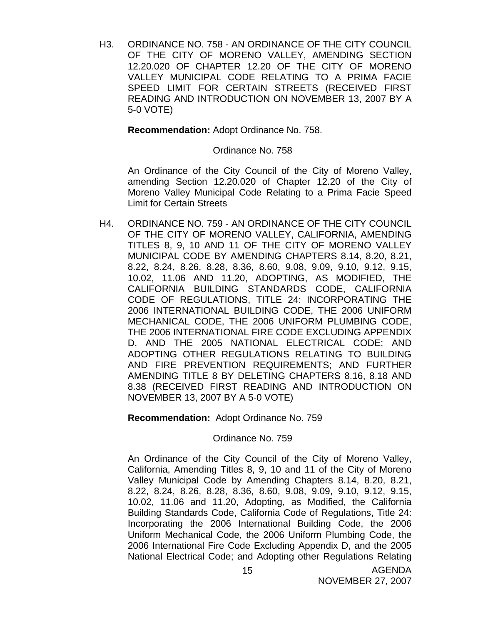H3. ORDINANCE NO. 758 - AN ORDINANCE OF THE CITY COUNCIL OF THE CITY OF MORENO VALLEY, AMENDING SECTION 12.20.020 OF CHAPTER 12.20 OF THE CITY OF MORENO VALLEY MUNICIPAL CODE RELATING TO A PRIMA FACIE SPEED LIMIT FOR CERTAIN STREETS (RECEIVED FIRST READING AND INTRODUCTION ON NOVEMBER 13, 2007 BY A 5-0 VOTE)

**Recommendation:** Adopt Ordinance No. 758.

Ordinance No. 758

An Ordinance of the City Council of the City of Moreno Valley, amending Section 12.20.020 of Chapter 12.20 of the City of Moreno Valley Municipal Code Relating to a Prima Facie Speed Limit for Certain Streets

H4. ORDINANCE NO. 759 - AN ORDINANCE OF THE CITY COUNCIL OF THE CITY OF MORENO VALLEY, CALIFORNIA, AMENDING TITLES 8, 9, 10 AND 11 OF THE CITY OF MORENO VALLEY MUNICIPAL CODE BY AMENDING CHAPTERS 8.14, 8.20, 8.21, 8.22, 8.24, 8.26, 8.28, 8.36, 8.60, 9.08, 9.09, 9.10, 9.12, 9.15, 10.02, 11.06 AND 11.20, ADOPTING, AS MODIFIED, THE CALIFORNIA BUILDING STANDARDS CODE, CALIFORNIA CODE OF REGULATIONS, TITLE 24: INCORPORATING THE 2006 INTERNATIONAL BUILDING CODE, THE 2006 UNIFORM MECHANICAL CODE, THE 2006 UNIFORM PLUMBING CODE, THE 2006 INTERNATIONAL FIRE CODE EXCLUDING APPENDIX D, AND THE 2005 NATIONAL ELECTRICAL CODE; AND ADOPTING OTHER REGULATIONS RELATING TO BUILDING AND FIRE PREVENTION REQUIREMENTS; AND FURTHER AMENDING TITLE 8 BY DELETING CHAPTERS 8.16, 8.18 AND 8.38 (RECEIVED FIRST READING AND INTRODUCTION ON NOVEMBER 13, 2007 BY A 5-0 VOTE)

**Recommendation:** Adopt Ordinance No. 759

Ordinance No. 759

 An Ordinance of the City Council of the City of Moreno Valley, California, Amending Titles 8, 9, 10 and 11 of the City of Moreno Valley Municipal Code by Amending Chapters 8.14, 8.20, 8.21, 8.22, 8.24, 8.26, 8.28, 8.36, 8.60, 9.08, 9.09, 9.10, 9.12, 9.15, 10.02, 11.06 and 11.20, Adopting, as Modified, the California Building Standards Code, California Code of Regulations, Title 24: Incorporating the 2006 International Building Code, the 2006 Uniform Mechanical Code, the 2006 Uniform Plumbing Code, the 2006 International Fire Code Excluding Appendix D, and the 2005 National Electrical Code; and Adopting other Regulations Relating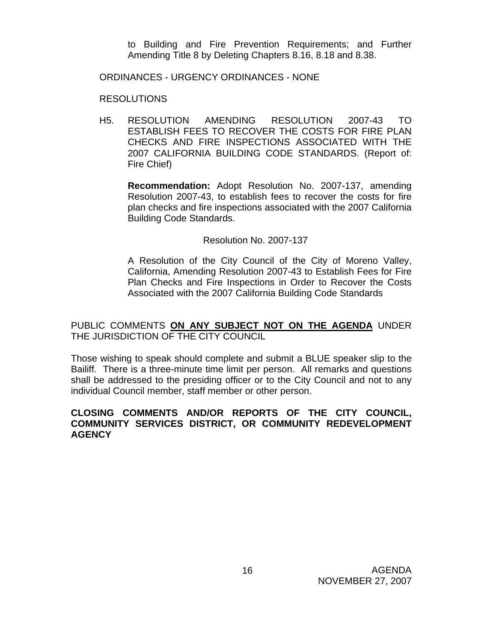to Building and Fire Prevention Requirements; and Further Amending Title 8 by Deleting Chapters 8.16, 8.18 and 8.38.

ORDINANCES - URGENCY ORDINANCES - NONE

RESOLUTIONS

H5. RESOLUTION AMENDING RESOLUTION 2007-43 TO ESTABLISH FEES TO RECOVER THE COSTS FOR FIRE PLAN CHECKS AND FIRE INSPECTIONS ASSOCIATED WITH THE 2007 CALIFORNIA BUILDING CODE STANDARDS. (Report of: Fire Chief)

 **Recommendation:** Adopt Resolution No. 2007-137, amending Resolution 2007-43, to establish fees to recover the costs for fire plan checks and fire inspections associated with the 2007 California Building Code Standards.

Resolution No. 2007-137

A Resolution of the City Council of the City of Moreno Valley, California, Amending Resolution 2007-43 to Establish Fees for Fire Plan Checks and Fire Inspections in Order to Recover the Costs Associated with the 2007 California Building Code Standards

PUBLIC COMMENTS **ON ANY SUBJECT NOT ON THE AGENDA** UNDER THE JURISDICTION OF THE CITY COUNCIL

Those wishing to speak should complete and submit a BLUE speaker slip to the Bailiff. There is a three-minute time limit per person. All remarks and questions shall be addressed to the presiding officer or to the City Council and not to any individual Council member, staff member or other person.

#### **CLOSING COMMENTS AND/OR REPORTS OF THE CITY COUNCIL, COMMUNITY SERVICES DISTRICT, OR COMMUNITY REDEVELOPMENT AGENCY**